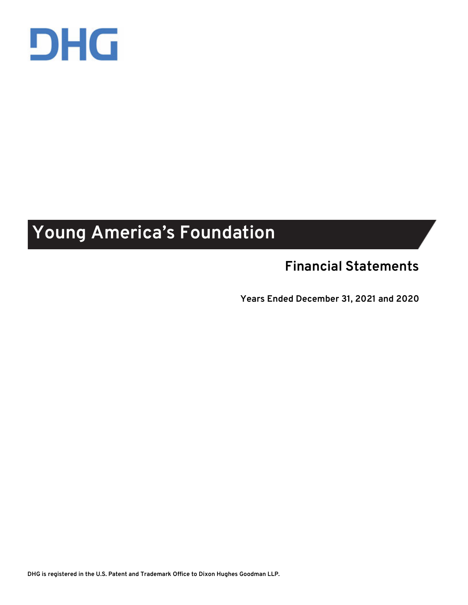

## **Young America's Foundation**

## **Financial Statements**

**Years Ended December 31, 2021 and 2020**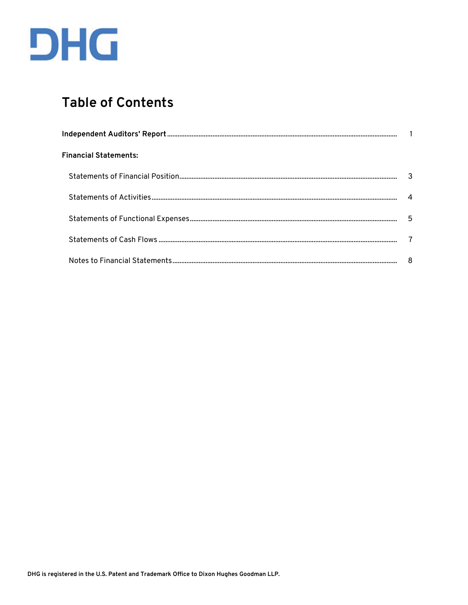

## **Table of Contents**

| <b>Financial Statements:</b> |   |
|------------------------------|---|
|                              |   |
|                              |   |
|                              | 5 |
|                              |   |
|                              | 8 |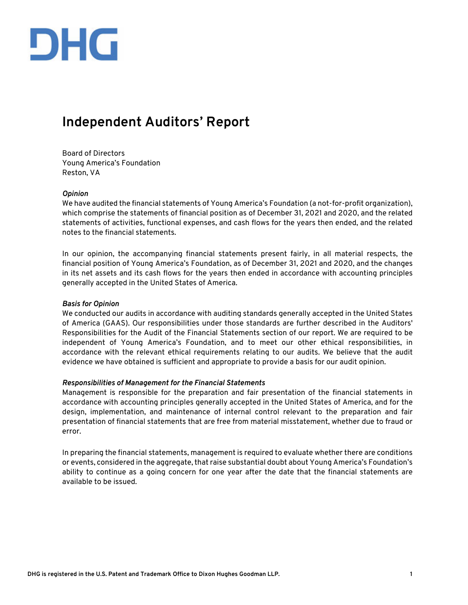

### **Independent Auditors' Report**

Board of Directors Young America's Foundation Reston, VA

#### *Opinion*

We have audited the financial statements of Young America's Foundation (a not-for-profit organization), which comprise the statements of financial position as of December 31, 2021 and 2020, and the related statements of activities, functional expenses, and cash flows for the years then ended, and the related notes to the financial statements.

In our opinion, the accompanying financial statements present fairly, in all material respects, the financial position of Young America's Foundation, as of December 31, 2021 and 2020, and the changes in its net assets and its cash flows for the years then ended in accordance with accounting principles generally accepted in the United States of America.

#### *Basis for Opinion*

We conducted our audits in accordance with auditing standards generally accepted in the United States of America (GAAS). Our responsibilities under those standards are further described in the Auditors' Responsibilities for the Audit of the Financial Statements section of our report. We are required to be independent of Young America's Foundation, and to meet our other ethical responsibilities, in accordance with the relevant ethical requirements relating to our audits. We believe that the audit evidence we have obtained is sufficient and appropriate to provide a basis for our audit opinion.

#### *Responsibilities of Management for the Financial Statements*

Management is responsible for the preparation and fair presentation of the financial statements in accordance with accounting principles generally accepted in the United States of America, and for the design, implementation, and maintenance of internal control relevant to the preparation and fair presentation of financial statements that are free from material misstatement, whether due to fraud or error.

In preparing the financial statements, management is required to evaluate whether there are conditions or events, considered in the aggregate, that raise substantial doubt about Young America's Foundation's ability to continue as a going concern for one year after the date that the financial statements are available to be issued.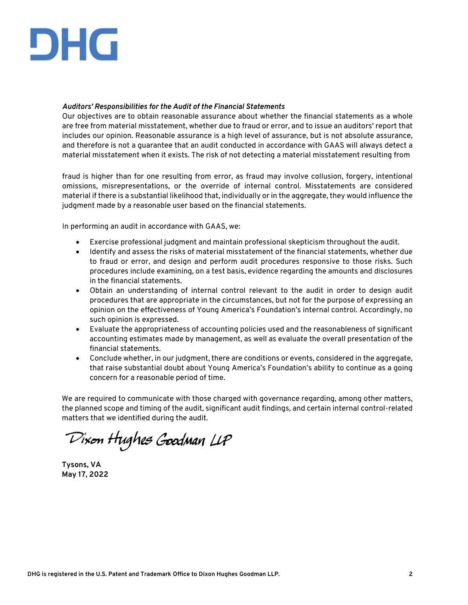# DHG

#### *Auditors' Responsibilities for the Audit of the Financial Statements*

Our objectives are to obtain reasonable assurance about whether the financial statements as a whole are free from material misstatement, whether due to fraud or error, and to issue an auditors' report that includes our opinion. Reasonable assurance is a high level of assurance, but is not absolute assurance, and therefore is not a guarantee that an audit conducted in accordance with GAAS will always detect a material misstatement when it exists. The risk of not detecting a material misstatement resulting from

fraud is higher than for one resulting from error, as fraud may involve collusion, forgery, intentional omissions, misrepresentations, or the override of internal control. Misstatements are considered material if there is a substantial likelihood that, individually or in the aggregate, they would influence the judgment made by a reasonable user based on the financial statements.

In performing an audit in accordance with GAAS, we:

- Exercise professional judgment and maintain professional skepticism throughout the audit.
- Identify and assess the risks of material misstatement of the financial statements, whether due to fraud or error, and design and perform audit procedures responsive to those risks. Such procedures include examining, on a test basis, evidence regarding the amounts and disclosures in the financial statements.
- Obtain an understanding of internal control relevant to the audit in order to design audit procedures that are appropriate in the circumstances, but not for the purpose of expressing an opinion on the effectiveness of Young America's Foundation's internal control. Accordingly, no such opinion is expressed.
- Evaluate the appropriateness of accounting policies used and the reasonableness of significant accounting estimates made by management, as well as evaluate the overall presentation of the financial statements.
- Conclude whether, in our judgment, there are conditions or events, considered in the aggregate, that raise substantial doubt about Young America's Foundation's ability to continue as a going concern for a reasonable period of time.

We are required to communicate with those charged with governance regarding, among other matters, the planned scope and timing of the audit, significant audit findings, and certain internal control-related matters that we identified during the audit.

Dixon Hughes Goodman LLP

**Tysons, VA May 17, 2022**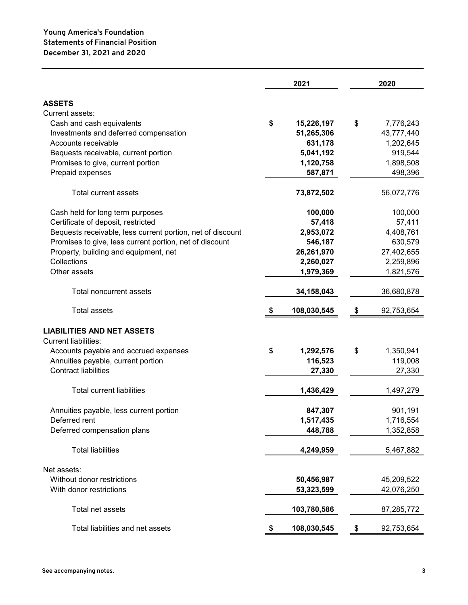|                                                            |    | 2021        | 2020             |
|------------------------------------------------------------|----|-------------|------------------|
| <b>ASSETS</b>                                              |    |             |                  |
| Current assets:                                            |    |             |                  |
| Cash and cash equivalents                                  | \$ | 15,226,197  | \$<br>7,776,243  |
| Investments and deferred compensation                      |    | 51,265,306  | 43,777,440       |
| Accounts receivable                                        |    | 631,178     | 1,202,645        |
| Bequests receivable, current portion                       |    | 5,041,192   | 919,544          |
| Promises to give, current portion                          |    | 1,120,758   | 1,898,508        |
| Prepaid expenses                                           |    | 587,871     | 498,396          |
| Total current assets                                       |    | 73,872,502  | 56,072,776       |
| Cash held for long term purposes                           |    | 100,000     | 100,000          |
| Certificate of deposit, restricted                         |    | 57,418      | 57,411           |
| Bequests receivable, less current portion, net of discount |    | 2,953,072   | 4,408,761        |
| Promises to give, less current portion, net of discount    |    | 546,187     | 630,579          |
| Property, building and equipment, net                      |    | 26,261,970  | 27,402,655       |
| Collections                                                |    | 2,260,027   | 2,259,896        |
| Other assets                                               |    | 1,979,369   | 1,821,576        |
| Total noncurrent assets                                    |    | 34,158,043  | 36,680,878       |
| Total assets                                               | S  | 108,030,545 | \$<br>92,753,654 |
| <b>LIABILITIES AND NET ASSETS</b>                          |    |             |                  |
| <b>Current liabilities:</b>                                |    |             |                  |
| Accounts payable and accrued expenses                      | \$ | 1,292,576   | \$<br>1,350,941  |
| Annuities payable, current portion                         |    | 116,523     | 119,008          |
| <b>Contract liabilities</b>                                |    | 27,330      | 27,330           |
| <b>Total current liabilities</b>                           |    | 1,436,429   | 1,497,279        |
| Annuities payable, less current portion                    |    | 847,307     | 901,191          |
| Deferred rent                                              |    | 1,517,435   | 1,716,554        |
| Deferred compensation plans                                |    | 448,788     | 1,352,858        |
| <b>Total liabilities</b>                                   |    | 4,249,959   | 5,467,882        |
| Net assets:                                                |    |             |                  |
| Without donor restrictions                                 |    | 50,456,987  | 45,209,522       |
| With donor restrictions                                    |    | 53,323,599  | 42,076,250       |
| Total net assets                                           |    | 103,780,586 | 87,285,772       |
| Total liabilities and net assets                           | \$ | 108,030,545 | \$<br>92,753,654 |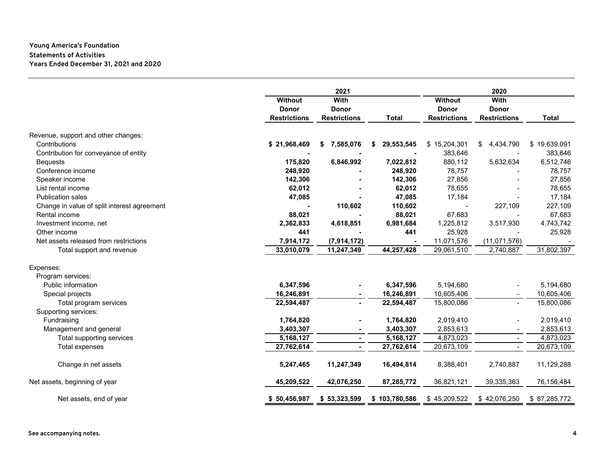#### **Statements of Activities Young America's Foundation Years Ended December 31, 2021 and 2020**

|                                             | 2021                |                     |                 |                        | 2020                |              |  |
|---------------------------------------------|---------------------|---------------------|-----------------|------------------------|---------------------|--------------|--|
|                                             | <b>Without</b>      | With                |                 | With<br><b>Without</b> |                     |              |  |
|                                             | <b>Donor</b>        | <b>Donor</b>        |                 | <b>Donor</b>           | <b>Donor</b>        |              |  |
|                                             | <b>Restrictions</b> | <b>Restrictions</b> | <b>Total</b>    | <b>Restrictions</b>    | <b>Restrictions</b> | <b>Total</b> |  |
| Revenue, support and other changes:         |                     |                     |                 |                        |                     |              |  |
| Contributions                               | \$21,968,469        | 7,585,076<br>S      | 29,553,545<br>S | \$15,204,301           | 4,434,790<br>\$     | \$19,639,091 |  |
| Contribution for conveyance of entity       |                     |                     |                 | 383,646                |                     | 383,646      |  |
| <b>Bequests</b>                             | 175,820             | 6,846,992           | 7,022,812       | 880,112                | 5,632,634           | 6,512,746    |  |
| Conference income                           | 248,920             |                     | 248,920         | 78,757                 |                     | 78,757       |  |
| Speaker income                              | 142,306             |                     | 142,306         | 27,856                 |                     | 27,856       |  |
| List rental income                          | 62,012              |                     | 62,012          | 78,655                 |                     | 78,655       |  |
| <b>Publication sales</b>                    | 47,085              |                     | 47,085          | 17,184                 |                     | 17,184       |  |
| Change in value of split interest agreement |                     | 110,602             | 110,602         |                        | 227,109             | 227,109      |  |
| Rental income                               | 88,021              |                     | 88,021          | 67,683                 |                     | 67,683       |  |
| Investment income, net                      | 2,362,833           | 4,618,851           | 6,981,684       | 1,225,812              | 3,517,930           | 4,743,742    |  |
| Other income                                | 441                 |                     | 441             | 25,928                 |                     | 25,928       |  |
| Net assets released from restrictions       | 7,914,172           | (7,914,172)         |                 | 11,071,576             | (11,071,576)        |              |  |
| Total support and revenue                   | 33,010,079          | 11,247,349          | 44,257,428      | 29,061,510             | 2,740,887           | 31,802,397   |  |
|                                             |                     |                     |                 |                        |                     |              |  |
| Expenses:                                   |                     |                     |                 |                        |                     |              |  |
| Program services:                           |                     |                     |                 |                        |                     |              |  |
| Public information                          | 6,347,596           |                     | 6,347,596       | 5,194,680              |                     | 5,194,680    |  |
| Special projects                            | 16,246,891          |                     | 16,246,891      | 10,605,406             |                     | 10,605,406   |  |
| Total program services                      | 22,594,487          | $\blacksquare$      | 22,594,487      | 15,800,086             | $\blacksquare$      | 15,800,086   |  |
| Supporting services:                        |                     |                     |                 |                        |                     |              |  |
| Fundraising                                 | 1,764,820           | $\blacksquare$      | 1,764,820       | 2,019,410              |                     | 2,019,410    |  |
| Management and general                      | 3,403,307           | $\blacksquare$      | 3,403,307       | 2,853,613              |                     | 2,853,613    |  |
| Total supporting services                   | 5,168,127           | ٠                   | 5,168,127       | 4,873,023              | $\blacksquare$      | 4,873,023    |  |
| Total expenses                              | 27,762,614          | $\blacksquare$      | 27,762,614      | 20,673,109             | $\sim$              | 20,673,109   |  |
| Change in net assets                        | 5,247,465           | 11,247,349          | 16,494,814      | 8,388,401              | 2,740,887           | 11,129,288   |  |
| Net assets, beginning of year               | 45,209,522          | 42,076,250          | 87,285,772      | 36,821,121             | 39,335,363          | 76,156,484   |  |
| Net assets, end of year                     | \$50,456,987        | \$53,323,599        | \$103,780,586   | \$45,209,522           | \$42,076,250        | \$87,285,772 |  |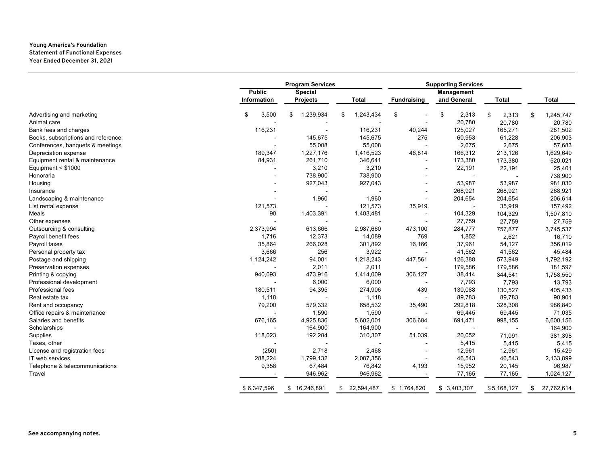#### **Young America's Foundation Statement of Functional Expenses Year Ended December 31, 2021**

|                                    | <b>Program Services</b> |                 | <b>Supporting Services</b> |                          |             |              |                 |
|------------------------------------|-------------------------|-----------------|----------------------------|--------------------------|-------------|--------------|-----------------|
|                                    | <b>Public</b>           | Special         |                            |                          | Management  |              |                 |
|                                    | Information             | Projects        | <b>Total</b>               | <b>Fundraising</b>       | and General | <b>Total</b> | <b>Total</b>    |
| Advertising and marketing          | 3,500<br>\$             | \$<br>1,239,934 | 1,243,434<br>\$            | \$                       | \$<br>2,313 | 2,313<br>\$  | 1,245,747<br>\$ |
| Animal care                        |                         |                 |                            |                          | 20,780      | 20,780       | 20,780          |
| Bank fees and charges              | 116,231                 |                 | 116,231                    | 40,244                   | 125,027     | 165,271      | 281,502         |
| Books, subscriptions and reference |                         | 145,675         | 145,675                    | 275                      | 60,953      | 61,228       | 206,903         |
| Conferences, banquets & meetings   |                         | 55,008          | 55,008                     |                          | 2,675       | 2,675        | 57,683          |
| Depreciation expense               | 189,347                 | 1,227,176       | 1,416,523                  | 46,814                   | 166,312     | 213,126      | 1,629,649       |
| Equipment rental & maintenance     | 84,931                  | 261,710         | 346,641                    |                          | 173,380     | 173,380      | 520,021         |
| Equipment < \$1000                 |                         | 3,210           | 3,210                      | $\overline{\phantom{a}}$ | 22,191      | 22,191       | 25,401          |
| Honoraria                          |                         | 738,900         | 738,900                    |                          |             |              | 738,900         |
| Housing                            |                         | 927,043         | 927,043                    |                          | 53,987      | 53,987       | 981,030         |
| Insurance                          |                         |                 |                            |                          | 268,921     | 268,921      | 268,921         |
| Landscaping & maintenance          |                         | 1,960           | 1,960                      |                          | 204,654     | 204,654      | 206,614         |
| List rental expense                | 121,573                 |                 | 121,573                    | 35,919                   |             | 35,919       | 157,492         |
| Meals                              | 90                      | 1,403,391       | 1,403,481                  |                          | 104,329     | 104,329      | 1,507,810       |
| Other expenses                     |                         |                 |                            |                          | 27,759      | 27,759       | 27,759          |
| Outsourcing & consulting           | 2,373,994               | 613,666         | 2,987,660                  | 473,100                  | 284,777     | 757,877      | 3,745,537       |
| Payroll benefit fees               | 1,716                   | 12,373          | 14,089                     | 769                      | 1,852       | 2,621        | 16,710          |
| Payroll taxes                      | 35,864                  | 266,028         | 301,892                    | 16,166                   | 37,961      | 54,127       | 356,019         |
| Personal property tax              | 3,666                   | 256             | 3,922                      |                          | 41,562      | 41,562       | 45,484          |
| Postage and shipping               | 1,124,242               | 94,001          | 1,218,243                  | 447,561                  | 126,388     | 573,949      | 1,792,192       |
| Preservation expenses              |                         | 2,011           | 2,011                      |                          | 179,586     | 179,586      | 181,597         |
| Printing & copying                 | 940,093                 | 473,916         | 1,414,009                  | 306,127                  | 38,414      | 344,541      | 1,758,550       |
| Professional development           |                         | 6,000           | 6,000                      |                          | 7,793       | 7,793        | 13,793          |
| Professional fees                  | 180,511                 | 94,395          | 274,906                    | 439                      | 130,088     | 130,527      | 405,433         |
| Real estate tax                    | 1,118                   |                 | 1,118                      |                          | 89,783      | 89,783       | 90,901          |
| Rent and occupancy                 | 79,200                  | 579,332         | 658,532                    | 35,490                   | 292,818     | 328,308      | 986,840         |
| Office repairs & maintenance       |                         | 1,590           | 1,590                      |                          | 69,445      | 69,445       | 71,035          |
| Salaries and benefits              | 676,165                 | 4,925,836       | 5,602,001                  | 306,684                  | 691,471     | 998,155      | 6,600,156       |
| Scholarships                       |                         | 164,900         | 164,900                    |                          |             |              | 164,900         |
| Supplies                           | 118,023                 | 192,284         | 310,307                    | 51,039                   | 20,052      | 71,091       | 381,398         |
| Taxes, other                       |                         |                 |                            |                          | 5,415       | 5,415        | 5,415           |
| License and registration fees      | (250)                   | 2,718           | 2,468                      |                          | 12,961      | 12,961       | 15,429          |
| IT web services                    | 288,224                 | 1,799,132       | 2,087,356                  |                          | 46,543      | 46,543       | 2,133,899       |
| Telephone & telecommunications     | 9,358                   | 67,484          | 76,842                     | 4,193                    | 15,952      | 20,145       | 96,987          |
| Travel                             |                         | 946,962         | 946,962                    |                          | 77,165      | 77,165       | 1,024,127       |
|                                    | \$6,347,596             | \$16,246,891    | \$22,594,487               | \$1,764,820              | \$3,403,307 | \$5,168,127  | \$27,762,614    |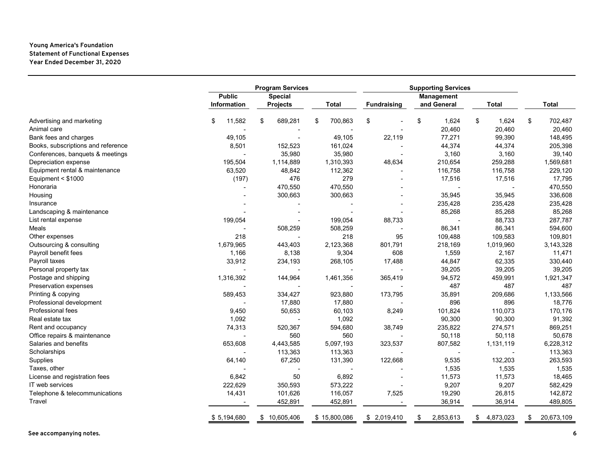#### **Young America's Foundation Statement of Functional Expenses Year Ended December 31, 2020**

|                                    |               | <b>Program Services</b> |               | <b>Supporting Services</b> |    |                   |    |              |                  |
|------------------------------------|---------------|-------------------------|---------------|----------------------------|----|-------------------|----|--------------|------------------|
|                                    | <b>Public</b> | <b>Special</b>          |               |                            |    | <b>Management</b> |    |              |                  |
|                                    | Information   | <b>Projects</b>         | <b>Total</b>  | <b>Fundraising</b>         |    | and General       |    | <b>Total</b> | <b>Total</b>     |
| Advertising and marketing          | 11,582<br>\$  | \$<br>689,281           | \$<br>700,863 | \$                         | \$ | 1,624             | \$ | 1,624        | \$<br>702,487    |
| Animal care                        |               |                         | ٠             |                            |    | 20,460            |    | 20,460       | 20,460           |
| Bank fees and charges              | 49,105        |                         | 49,105        | 22,119                     |    | 77,271            |    | 99,390       | 148,495          |
| Books, subscriptions and reference | 8,501         | 152,523                 | 161,024       |                            |    | 44,374            |    | 44,374       | 205,398          |
| Conferences, banquets & meetings   |               | 35,980                  | 35,980        |                            |    | 3,160             |    | 3,160        | 39,140           |
| Depreciation expense               | 195,504       | 1,114,889               | 1,310,393     | 48,634                     |    | 210,654           |    | 259,288      | 1,569,681        |
| Equipment rental & maintenance     | 63,520        | 48,842                  | 112,362       |                            |    | 116,758           |    | 116,758      | 229,120          |
| Equipment $<$ \$1000               | (197)         | 476                     | 279           |                            |    | 17,516            |    | 17,516       | 17,795           |
| Honoraria                          |               | 470,550                 | 470,550       |                            |    |                   |    |              | 470,550          |
| Housing                            |               | 300,663                 | 300,663       |                            |    | 35,945            |    | 35,945       | 336,608          |
| Insurance                          |               |                         |               |                            |    | 235,428           |    | 235,428      | 235,428          |
| Landscaping & maintenance          |               |                         |               |                            |    | 85,268            |    | 85,268       | 85,268           |
| List rental expense                | 199,054       |                         | 199,054       | 88,733                     |    |                   |    | 88,733       | 287,787          |
| Meals                              |               | 508,259                 | 508,259       |                            |    | 86,341            |    | 86,341       | 594,600          |
| Other expenses                     | 218           |                         | 218           | 95                         |    | 109,488           |    | 109,583      | 109,801          |
| Outsourcing & consulting           | 1,679,965     | 443,403                 | 2,123,368     | 801,791                    |    | 218,169           |    | 1,019,960    | 3,143,328        |
| Payroll benefit fees               | 1,166         | 8,138                   | 9,304         | 608                        |    | 1,559             |    | 2,167        | 11,471           |
| Payroll taxes                      | 33,912        | 234,193                 | 268,105       | 17,488                     |    | 44,847            |    | 62,335       | 330,440          |
| Personal property tax              |               |                         |               |                            |    | 39,205            |    | 39,205       | 39,205           |
| Postage and shipping               | 1,316,392     | 144,964                 | 1,461,356     | 365,419                    |    | 94,572            |    | 459,991      | 1,921,347        |
| Preservation expenses              |               |                         |               |                            |    | 487               |    | 487          | 487              |
| Printing & copying                 | 589,453       | 334,427                 | 923,880       | 173,795                    |    | 35,891            |    | 209,686      | 1,133,566        |
| Professional development           |               | 17,880                  | 17,880        |                            |    | 896               |    | 896          | 18,776           |
| Professional fees                  | 9,450         | 50,653                  | 60,103        | 8,249                      |    | 101,824           |    | 110,073      | 170,176          |
| Real estate tax                    | 1,092         |                         | 1,092         |                            |    | 90,300            |    | 90,300       | 91,392           |
| Rent and occupancy                 | 74,313        | 520,367                 | 594,680       | 38,749                     |    | 235,822           |    | 274,571      | 869,251          |
| Office repairs & maintenance       |               | 560                     | 560           |                            |    | 50,118            |    | 50,118       | 50,678           |
| Salaries and benefits              | 653,608       | 4,443,585               | 5,097,193     | 323,537                    |    | 807,582           |    | 1,131,119    | 6,228,312        |
| Scholarships                       |               | 113,363                 | 113,363       |                            |    |                   |    |              | 113,363          |
| Supplies                           | 64,140        | 67,250                  | 131,390       | 122,668                    |    | 9,535             |    | 132,203      | 263,593          |
| Taxes, other                       |               |                         |               |                            |    | 1,535             |    | 1,535        | 1,535            |
| License and registration fees      | 6,842         | 50                      | 6,892         |                            |    | 11,573            |    | 11,573       | 18,465           |
| IT web services                    | 222,629       | 350,593                 | 573,222       |                            |    | 9,207             |    | 9,207        | 582,429          |
| Telephone & telecommunications     | 14,431        | 101,626                 | 116,057       | 7,525                      |    | 19,290            |    | 26,815       | 142,872          |
| Travel                             |               | 452,891                 | 452,891       |                            |    | 36,914            |    | 36,914       | 489,805          |
|                                    | \$5,194,680   | \$10,605,406            | \$15,800,086  | \$2,019,410                | \$ | 2,853,613         | \$ | 4,873,023    | \$<br>20,673,109 |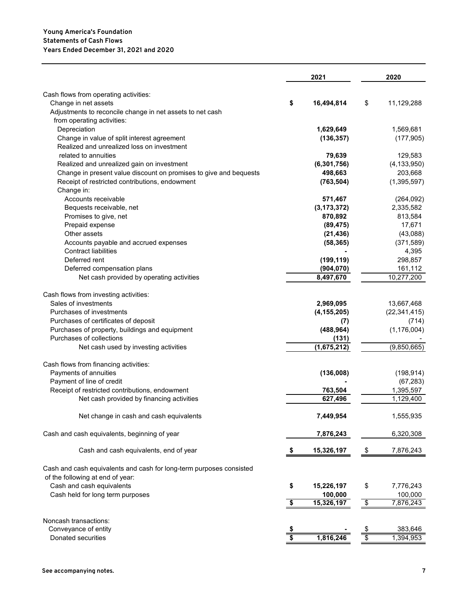#### **Years Ended December 31, 2021 and 2020 Statements of Cash Flows Young America's Foundation**

|                                                                     | 2021                                 |               | 2020                             |                |
|---------------------------------------------------------------------|--------------------------------------|---------------|----------------------------------|----------------|
| Cash flows from operating activities:                               |                                      |               |                                  |                |
| Change in net assets                                                | \$                                   | 16,494,814    | \$                               | 11,129,288     |
| Adjustments to reconcile change in net assets to net cash           |                                      |               |                                  |                |
| from operating activities:                                          |                                      |               |                                  |                |
| Depreciation                                                        |                                      | 1,629,649     |                                  | 1,569,681      |
| Change in value of split interest agreement                         |                                      | (136, 357)    |                                  | (177, 905)     |
| Realized and unrealized loss on investment                          |                                      |               |                                  |                |
| related to annuities                                                |                                      | 79,639        |                                  | 129,583        |
| Realized and unrealized gain on investment                          |                                      | (6, 301, 756) |                                  | (4, 133, 950)  |
| Change in present value discount on promises to give and bequests   |                                      | 498,663       |                                  | 203,668        |
| Receipt of restricted contributions, endowment                      |                                      | (763, 504)    |                                  | (1, 395, 597)  |
| Change in:                                                          |                                      |               |                                  |                |
| Accounts receivable                                                 |                                      | 571,467       |                                  | (264, 092)     |
| Bequests receivable, net                                            |                                      | (3, 173, 372) |                                  | 2,335,582      |
| Promises to give, net                                               |                                      | 870,892       |                                  | 813,584        |
| Prepaid expense                                                     |                                      | (89, 475)     |                                  | 17,671         |
| Other assets                                                        |                                      | (21, 436)     |                                  | (43,088)       |
| Accounts payable and accrued expenses                               |                                      | (58, 365)     |                                  | (371, 589)     |
| <b>Contract liabilities</b>                                         |                                      |               |                                  | 4,395          |
| Deferred rent                                                       |                                      | (199, 119)    |                                  | 298,857        |
| Deferred compensation plans                                         |                                      | (904, 070)    |                                  | 161,112        |
| Net cash provided by operating activities                           |                                      | 8,497,670     |                                  | 10,277,200     |
|                                                                     |                                      |               |                                  |                |
| Cash flows from investing activities:                               |                                      |               |                                  |                |
| Sales of investments                                                |                                      | 2,969,095     |                                  | 13,667,468     |
| Purchases of investments                                            |                                      | (4, 155, 205) |                                  | (22, 341, 415) |
| Purchases of certificates of deposit                                |                                      | (7)           |                                  | (714)          |
| Purchases of property, buildings and equipment                      |                                      | (488, 964)    |                                  | (1, 176, 004)  |
| Purchases of collections                                            |                                      | (131)         |                                  |                |
| Net cash used by investing activities                               |                                      | (1,675,212)   |                                  | (9,850,665)    |
| Cash flows from financing activities:                               |                                      |               |                                  |                |
| Payments of annuities                                               |                                      | (136,008)     |                                  | (198, 914)     |
| Payment of line of credit                                           |                                      |               |                                  | (67, 283)      |
| Receipt of restricted contributions, endowment                      |                                      | 763,504       |                                  | 1,395,597      |
| Net cash provided by financing activities                           |                                      | 627,496       |                                  | 1,129,400      |
| Net change in cash and cash equivalents                             |                                      | 7,449,954     |                                  | 1,555,935      |
| Cash and cash equivalents, beginning of year                        |                                      | 7,876,243     |                                  | 6,320,308      |
| Cash and cash equivalents, end of year                              |                                      | 15,326,197    | \$                               | 7,876,243      |
| Cash and cash equivalents and cash for long-term purposes consisted |                                      |               |                                  |                |
| of the following at end of year:                                    |                                      |               |                                  |                |
| Cash and cash equivalents                                           | \$                                   | 15,226,197    | \$                               | 7,776,243      |
| Cash held for long term purposes                                    |                                      | 100,000       |                                  | 100,000        |
|                                                                     | $\overline{\boldsymbol{\mathsf{s}}}$ | 15,326,197    | $\overline{\boldsymbol{\theta}}$ | 7,876,243      |
|                                                                     |                                      |               |                                  |                |
| Noncash transactions:                                               |                                      |               |                                  |                |
| Conveyance of entity                                                |                                      |               |                                  | 383,646        |
| Donated securities                                                  | $\overline{\boldsymbol{\mathsf{s}}}$ | 1,816,246     | $\overline{\$}$                  | 1,394,953      |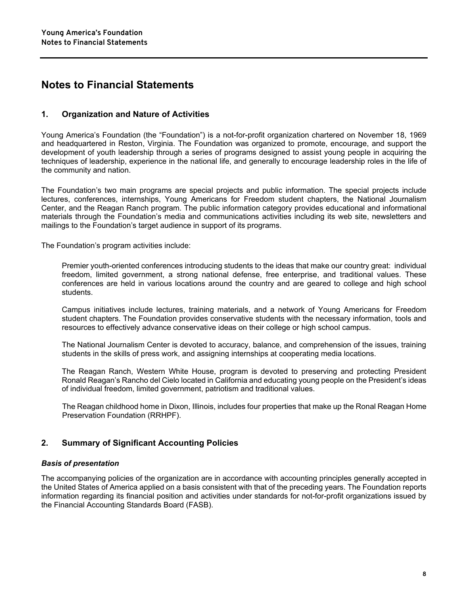#### **Notes to Financial Statements**

#### **1. Organization and Nature of Activities**

Young America's Foundation (the "Foundation") is a not-for-profit organization chartered on November 18, 1969 and headquartered in Reston, Virginia. The Foundation was organized to promote, encourage, and support the development of youth leadership through a series of programs designed to assist young people in acquiring the techniques of leadership, experience in the national life, and generally to encourage leadership roles in the life of the community and nation.

The Foundation's two main programs are special projects and public information. The special projects include lectures, conferences, internships, Young Americans for Freedom student chapters, the National Journalism Center, and the Reagan Ranch program. The public information category provides educational and informational materials through the Foundation's media and communications activities including its web site, newsletters and mailings to the Foundation's target audience in support of its programs.

The Foundation's program activities include:

Premier youth-oriented conferences introducing students to the ideas that make our country great: individual freedom, limited government, a strong national defense, free enterprise, and traditional values. These conferences are held in various locations around the country and are geared to college and high school students.

Campus initiatives include lectures, training materials, and a network of Young Americans for Freedom student chapters. The Foundation provides conservative students with the necessary information, tools and resources to effectively advance conservative ideas on their college or high school campus.

The National Journalism Center is devoted to accuracy, balance, and comprehension of the issues, training students in the skills of press work, and assigning internships at cooperating media locations.

The Reagan Ranch, Western White House, program is devoted to preserving and protecting President Ronald Reagan's Rancho del Cielo located in California and educating young people on the President's ideas of individual freedom, limited government, patriotism and traditional values.

The Reagan childhood home in Dixon, Illinois, includes four properties that make up the Ronal Reagan Home Preservation Foundation (RRHPF).

#### **2. Summary of Significant Accounting Policies**

#### *Basis of presentation*

The accompanying policies of the organization are in accordance with accounting principles generally accepted in the United States of America applied on a basis consistent with that of the preceding years. The Foundation reports information regarding its financial position and activities under standards for not-for-profit organizations issued by the Financial Accounting Standards Board (FASB).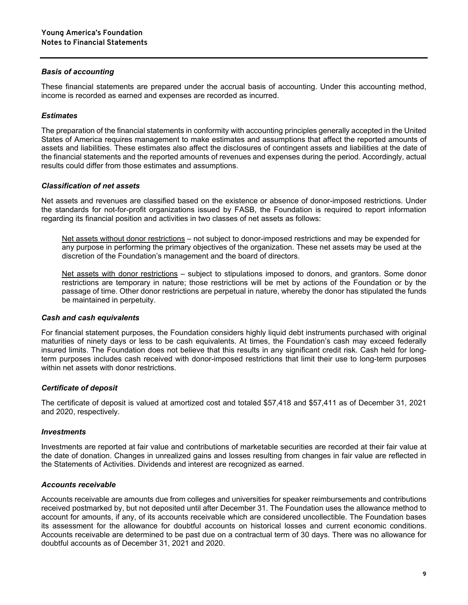#### *Basis of accounting*

These financial statements are prepared under the accrual basis of accounting. Under this accounting method, income is recorded as earned and expenses are recorded as incurred.

#### *Estimates*

The preparation of the financial statements in conformity with accounting principles generally accepted in the United States of America requires management to make estimates and assumptions that affect the reported amounts of assets and liabilities. These estimates also affect the disclosures of contingent assets and liabilities at the date of the financial statements and the reported amounts of revenues and expenses during the period. Accordingly, actual results could differ from those estimates and assumptions.

#### *Classification of net assets*

Net assets and revenues are classified based on the existence or absence of donor-imposed restrictions. Under the standards for not-for-profit organizations issued by FASB, the Foundation is required to report information regarding its financial position and activities in two classes of net assets as follows:

Net assets without donor restrictions – not subject to donor-imposed restrictions and may be expended for any purpose in performing the primary objectives of the organization. These net assets may be used at the discretion of the Foundation's management and the board of directors.

Net assets with donor restrictions – subject to stipulations imposed to donors, and grantors. Some donor restrictions are temporary in nature; those restrictions will be met by actions of the Foundation or by the passage of time. Other donor restrictions are perpetual in nature, whereby the donor has stipulated the funds be maintained in perpetuity.

#### *Cash and cash equivalents*

For financial statement purposes, the Foundation considers highly liquid debt instruments purchased with original maturities of ninety days or less to be cash equivalents. At times, the Foundation's cash may exceed federally insured limits. The Foundation does not believe that this results in any significant credit risk. Cash held for longterm purposes includes cash received with donor-imposed restrictions that limit their use to long-term purposes within net assets with donor restrictions.

#### *Certificate of deposit*

The certificate of deposit is valued at amortized cost and totaled \$57,418 and \$57,411 as of December 31, 2021 and 2020, respectively.

#### *Investments*

Investments are reported at fair value and contributions of marketable securities are recorded at their fair value at the date of donation. Changes in unrealized gains and losses resulting from changes in fair value are reflected in the Statements of Activities. Dividends and interest are recognized as earned.

#### *Accounts receivable*

Accounts receivable are amounts due from colleges and universities for speaker reimbursements and contributions received postmarked by, but not deposited until after December 31. The Foundation uses the allowance method to account for amounts, if any, of its accounts receivable which are considered uncollectible. The Foundation bases its assessment for the allowance for doubtful accounts on historical losses and current economic conditions. Accounts receivable are determined to be past due on a contractual term of 30 days. There was no allowance for doubtful accounts as of December 31, 2021 and 2020.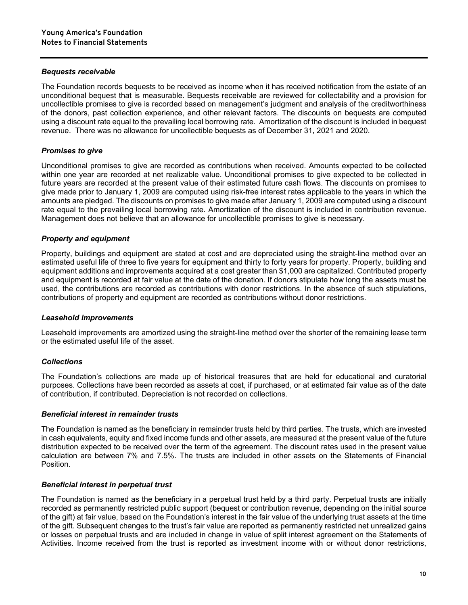#### *Bequests receivable*

The Foundation records bequests to be received as income when it has received notification from the estate of an unconditional bequest that is measurable. Bequests receivable are reviewed for collectability and a provision for uncollectible promises to give is recorded based on management's judgment and analysis of the creditworthiness of the donors, past collection experience, and other relevant factors. The discounts on bequests are computed using a discount rate equal to the prevailing local borrowing rate. Amortization of the discount is included in bequest revenue. There was no allowance for uncollectible bequests as of December 31, 2021 and 2020.

#### *Promises to give*

Unconditional promises to give are recorded as contributions when received. Amounts expected to be collected within one year are recorded at net realizable value. Unconditional promises to give expected to be collected in future years are recorded at the present value of their estimated future cash flows. The discounts on promises to give made prior to January 1, 2009 are computed using risk-free interest rates applicable to the years in which the amounts are pledged. The discounts on promises to give made after January 1, 2009 are computed using a discount rate equal to the prevailing local borrowing rate. Amortization of the discount is included in contribution revenue. Management does not believe that an allowance for uncollectible promises to give is necessary.

#### *Property and equipment*

Property, buildings and equipment are stated at cost and are depreciated using the straight-line method over an estimated useful life of three to five years for equipment and thirty to forty years for property. Property, building and equipment additions and improvements acquired at a cost greater than \$1,000 are capitalized. Contributed property and equipment is recorded at fair value at the date of the donation. If donors stipulate how long the assets must be used, the contributions are recorded as contributions with donor restrictions. In the absence of such stipulations, contributions of property and equipment are recorded as contributions without donor restrictions.

#### *Leasehold improvements*

Leasehold improvements are amortized using the straight-line method over the shorter of the remaining lease term or the estimated useful life of the asset.

#### *Collections*

The Foundation's collections are made up of historical treasures that are held for educational and curatorial purposes. Collections have been recorded as assets at cost, if purchased, or at estimated fair value as of the date of contribution, if contributed. Depreciation is not recorded on collections.

#### *Beneficial interest in remainder trusts*

The Foundation is named as the beneficiary in remainder trusts held by third parties. The trusts, which are invested in cash equivalents, equity and fixed income funds and other assets, are measured at the present value of the future distribution expected to be received over the term of the agreement. The discount rates used in the present value calculation are between 7% and 7.5%. The trusts are included in other assets on the Statements of Financial Position.

#### *Beneficial interest in perpetual trust*

The Foundation is named as the beneficiary in a perpetual trust held by a third party. Perpetual trusts are initially recorded as permanently restricted public support (bequest or contribution revenue, depending on the initial source of the gift) at fair value, based on the Foundation's interest in the fair value of the underlying trust assets at the time of the gift. Subsequent changes to the trust's fair value are reported as permanently restricted net unrealized gains or losses on perpetual trusts and are included in change in value of split interest agreement on the Statements of Activities. Income received from the trust is reported as investment income with or without donor restrictions,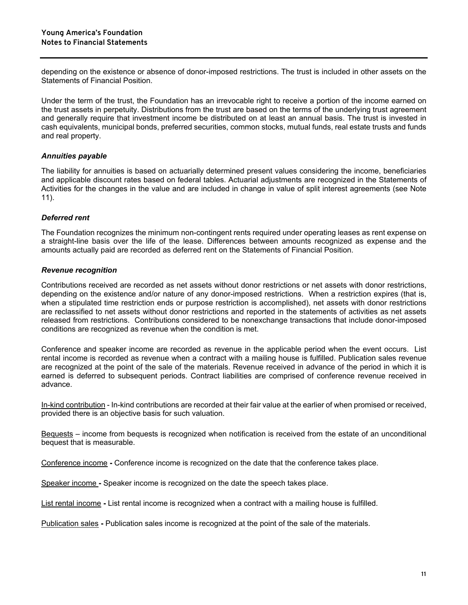depending on the existence or absence of donor-imposed restrictions. The trust is included in other assets on the Statements of Financial Position.

Under the term of the trust, the Foundation has an irrevocable right to receive a portion of the income earned on the trust assets in perpetuity. Distributions from the trust are based on the terms of the underlying trust agreement and generally require that investment income be distributed on at least an annual basis. The trust is invested in cash equivalents, municipal bonds, preferred securities, common stocks, mutual funds, real estate trusts and funds and real property.

#### *Annuities payable*

The liability for annuities is based on actuarially determined present values considering the income, beneficiaries and applicable discount rates based on federal tables. Actuarial adjustments are recognized in the Statements of Activities for the changes in the value and are included in change in value of split interest agreements (see Note 11).

#### *Deferred rent*

The Foundation recognizes the minimum non-contingent rents required under operating leases as rent expense on a straight-line basis over the life of the lease. Differences between amounts recognized as expense and the amounts actually paid are recorded as deferred rent on the Statements of Financial Position.

#### *Revenue recognition*

Contributions received are recorded as net assets without donor restrictions or net assets with donor restrictions, depending on the existence and/or nature of any donor-imposed restrictions. When a restriction expires (that is, when a stipulated time restriction ends or purpose restriction is accomplished), net assets with donor restrictions are reclassified to net assets without donor restrictions and reported in the statements of activities as net assets released from restrictions. Contributions considered to be nonexchange transactions that include donor-imposed conditions are recognized as revenue when the condition is met.

Conference and speaker income are recorded as revenue in the applicable period when the event occurs. List rental income is recorded as revenue when a contract with a mailing house is fulfilled. Publication sales revenue are recognized at the point of the sale of the materials. Revenue received in advance of the period in which it is earned is deferred to subsequent periods. Contract liabilities are comprised of conference revenue received in advance.

In-kind contribution - In-kind contributions are recorded at their fair value at the earlier of when promised or received, provided there is an objective basis for such valuation.

Bequests – income from bequests is recognized when notification is received from the estate of an unconditional bequest that is measurable.

Conference income **-** Conference income is recognized on the date that the conference takes place.

Speaker income **-** Speaker income is recognized on the date the speech takes place.

List rental income **-** List rental income is recognized when a contract with a mailing house is fulfilled.

Publication sales **-** Publication sales income is recognized at the point of the sale of the materials.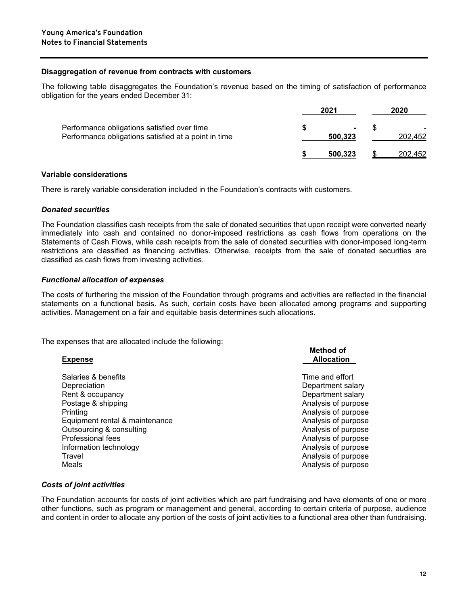#### **Disaggregation of revenue from contracts with customers**

The following table disaggregates the Foundation's revenue based on the timing of satisfaction of performance obligation for the years ended December 31:

|                                                                                                     | 2021                      | 2020    |
|-----------------------------------------------------------------------------------------------------|---------------------------|---------|
| Performance obligations satisfied over time<br>Performance obligations satisfied at a point in time | $\blacksquare$<br>500,323 | 202.452 |
|                                                                                                     | 500.323                   | 202.452 |

#### **Variable considerations**

There is rarely variable consideration included in the Foundation's contracts with customers.

#### *Donated securities*

The Foundation classifies cash receipts from the sale of donated securities that upon receipt were converted nearly immediately into cash and contained no donor-imposed restrictions as cash flows from operations on the Statements of Cash Flows, while cash receipts from the sale of donated securities with donor-imposed long-term restrictions are classified as financing activities. Otherwise, receipts from the sale of donated securities are classified as cash flows from investing activities.

#### *Functional allocation of expenses*

The costs of furthering the mission of the Foundation through programs and activities are reflected in the financial statements on a functional basis. As such, certain costs have been allocated among programs and supporting activities. Management on a fair and equitable basis determines such allocations.

The expenses that are allocated include the following:

| <b>Expense</b>                 | <b>Method of</b><br><b>Allocation</b> |
|--------------------------------|---------------------------------------|
| Salaries & benefits            | Time and effort                       |
| Depreciation                   | Department salary                     |
| Rent & occupancy               | Department salary                     |
| Postage & shipping             | Analysis of purpose                   |
| Printing                       | Analysis of purpose                   |
| Equipment rental & maintenance | Analysis of purpose                   |
| Outsourcing & consulting       | Analysis of purpose                   |
| <b>Professional fees</b>       | Analysis of purpose                   |
| Information technology         | Analysis of purpose                   |
| Travel                         | Analysis of purpose                   |
| Meals                          | Analysis of purpose                   |
|                                |                                       |

#### *Costs of joint activities*

The Foundation accounts for costs of joint activities which are part fundraising and have elements of one or more other functions, such as program or management and general, according to certain criteria of purpose, audience and content in order to allocate any portion of the costs of joint activities to a functional area other than fundraising.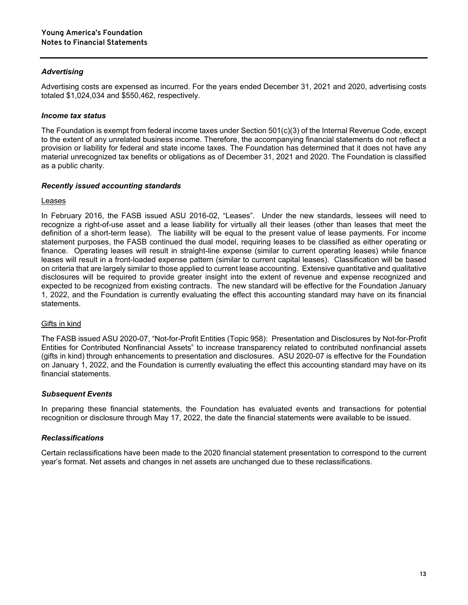#### *Advertising*

Advertising costs are expensed as incurred. For the years ended December 31, 2021 and 2020, advertising costs totaled \$1,024,034 and \$550,462, respectively.

#### *Income tax status*

The Foundation is exempt from federal income taxes under Section 501(c)(3) of the Internal Revenue Code, except to the extent of any unrelated business income. Therefore, the accompanying financial statements do not reflect a provision or liability for federal and state income taxes. The Foundation has determined that it does not have any material unrecognized tax benefits or obligations as of December 31, 2021 and 2020. The Foundation is classified as a public charity.

#### *Recently issued accounting standards*

#### Leases

In February 2016, the FASB issued ASU 2016-02, "Leases". Under the new standards, lessees will need to recognize a right-of-use asset and a lease liability for virtually all their leases (other than leases that meet the definition of a short-term lease). The liability will be equal to the present value of lease payments. For income statement purposes, the FASB continued the dual model, requiring leases to be classified as either operating or finance. Operating leases will result in straight-line expense (similar to current operating leases) while finance leases will result in a front-loaded expense pattern (similar to current capital leases). Classification will be based on criteria that are largely similar to those applied to current lease accounting. Extensive quantitative and qualitative disclosures will be required to provide greater insight into the extent of revenue and expense recognized and expected to be recognized from existing contracts. The new standard will be effective for the Foundation January 1, 2022, and the Foundation is currently evaluating the effect this accounting standard may have on its financial statements.

#### Gifts in kind

The FASB issued ASU 2020-07, "Not-for-Profit Entities (Topic 958): Presentation and Disclosures by Not-for-Profit Entities for Contributed Nonfinancial Assets" to increase transparency related to contributed nonfinancial assets (gifts in kind) through enhancements to presentation and disclosures. ASU 2020-07 is effective for the Foundation on January 1, 2022, and the Foundation is currently evaluating the effect this accounting standard may have on its financial statements.

#### *Subsequent Events*

In preparing these financial statements, the Foundation has evaluated events and transactions for potential recognition or disclosure through May 17, 2022, the date the financial statements were available to be issued.

#### *Reclassifications*

Certain reclassifications have been made to the 2020 financial statement presentation to correspond to the current year's format. Net assets and changes in net assets are unchanged due to these reclassifications.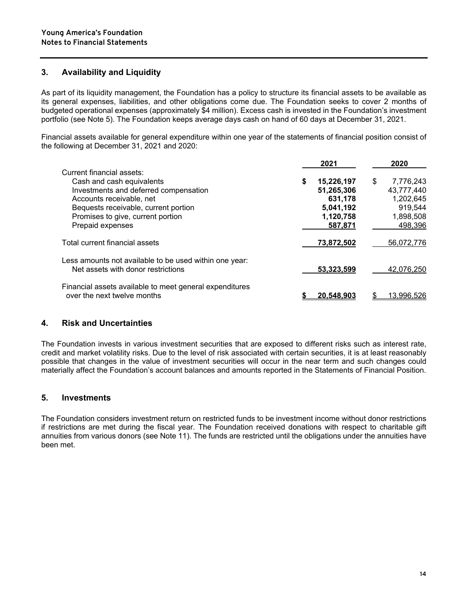#### **3. Availability and Liquidity**

As part of its liquidity management, the Foundation has a policy to structure its financial assets to be available as its general expenses, liabilities, and other obligations come due. The Foundation seeks to cover 2 months of budgeted operational expenses (approximately \$4 million). Excess cash is invested in the Foundation's investment portfolio (see Note 5). The Foundation keeps average days cash on hand of 60 days at December 31, 2021.

Financial assets available for general expenditure within one year of the statements of financial position consist of the following at December 31, 2021 and 2020:

|                                                                                              |   | 2021       | 2020            |
|----------------------------------------------------------------------------------------------|---|------------|-----------------|
| Current financial assets:                                                                    |   |            |                 |
| Cash and cash equivalents                                                                    | S | 15,226,197 | \$<br>7,776,243 |
| Investments and deferred compensation                                                        |   | 51,265,306 | 43,777,440      |
| Accounts receivable, net                                                                     |   | 631,178    | 1,202,645       |
| Bequests receivable, current portion                                                         |   | 5,041,192  | 919,544         |
| Promises to give, current portion                                                            |   | 1,120,758  | 1,898,508       |
| Prepaid expenses                                                                             |   | 587,871    | 498,396         |
| Total current financial assets                                                               |   | 73,872,502 | 56,072,776      |
| Less amounts not available to be used within one year:<br>Net assets with donor restrictions |   | 53,323,599 | 42.076.250      |
| Financial assets available to meet general expenditures                                      |   |            |                 |
| over the next twelve months                                                                  |   | 20.548.90  | 13.996.526      |

#### **4. Risk and Uncertainties**

The Foundation invests in various investment securities that are exposed to different risks such as interest rate, credit and market volatility risks. Due to the level of risk associated with certain securities, it is at least reasonably possible that changes in the value of investment securities will occur in the near term and such changes could materially affect the Foundation's account balances and amounts reported in the Statements of Financial Position.

#### **5. Investments**

The Foundation considers investment return on restricted funds to be investment income without donor restrictions if restrictions are met during the fiscal year. The Foundation received donations with respect to charitable gift annuities from various donors (see Note 11). The funds are restricted until the obligations under the annuities have been met.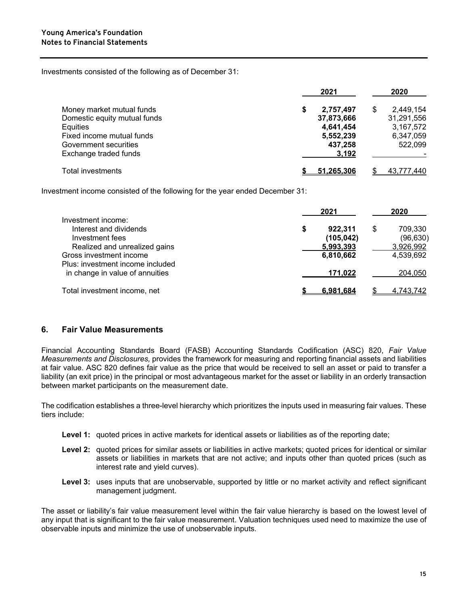Investments consisted of the following as of December 31:

|                              | 2021              | 2020            |
|------------------------------|-------------------|-----------------|
| Money market mutual funds    | 2,757,497<br>\$   | \$<br>2,449,154 |
| Domestic equity mutual funds | 37,873,666        | 31,291,556      |
| Equities                     | 4,641,454         | 3,167,572       |
| Fixed income mutual funds    | 5,552,239         | 6,347,059       |
| Government securities        | 437,258           | 522,099         |
| Exchange traded funds        | 3,192             |                 |
| Total investments            | <u>51.265.306</u> | 43,777,440      |

Investment income consisted of the following for the year ended December 31:

|                                                                                                  | 2021                               | 2020                                   |
|--------------------------------------------------------------------------------------------------|------------------------------------|----------------------------------------|
| Investment income:<br>Interest and dividends<br>Investment fees<br>Realized and unrealized gains | 922.311<br>(105, 042)<br>5,993,393 | 709.330<br>S<br>(96, 630)<br>3,926,992 |
| Gross investment income<br>Plus: investment income included                                      | 6,810,662                          | 4,539,692                              |
| in change in value of annuities                                                                  | 171,022                            | 204,050                                |
| Total investment income, net                                                                     | 6.981.684                          | 4,743,742                              |

#### **6. Fair Value Measurements**

Financial Accounting Standards Board (FASB) Accounting Standards Codification (ASC) 820, *Fair Value Measurements and Disclosures,* provides the framework for measuring and reporting financial assets and liabilities at fair value. ASC 820 defines fair value as the price that would be received to sell an asset or paid to transfer a liability (an exit price) in the principal or most advantageous market for the asset or liability in an orderly transaction between market participants on the measurement date.

The codification establishes a three-level hierarchy which prioritizes the inputs used in measuring fair values. These tiers include:

- **Level 1:** quoted prices in active markets for identical assets or liabilities as of the reporting date;
- **Level 2:** quoted prices for similar assets or liabilities in active markets; quoted prices for identical or similar assets or liabilities in markets that are not active; and inputs other than quoted prices (such as interest rate and yield curves).
- **Level 3:** uses inputs that are unobservable, supported by little or no market activity and reflect significant management judgment.

The asset or liability's fair value measurement level within the fair value hierarchy is based on the lowest level of any input that is significant to the fair value measurement. Valuation techniques used need to maximize the use of observable inputs and minimize the use of unobservable inputs.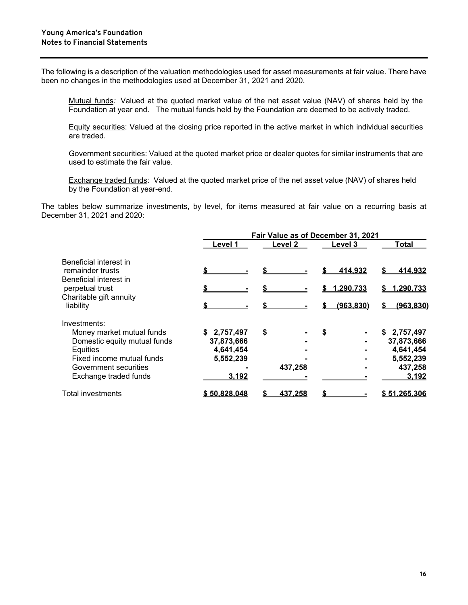The following is a description of the valuation methodologies used for asset measurements at fair value. There have been no changes in the methodologies used at December 31, 2021 and 2020.

Mutual funds*:* Valued at the quoted market value of the net asset value (NAV) of shares held by the Foundation at year end. The mutual funds held by the Foundation are deemed to be actively traded.

Equity securities: Valued at the closing price reported in the active market in which individual securities are traded.

Government securities: Valued at the quoted market price or dealer quotes for similar instruments that are used to estimate the fair value.

Exchange traded funds: Valued at the quoted market price of the net asset value (NAV) of shares held by the Foundation at year-end.

The tables below summarize investments, by level, for items measured at fair value on a recurring basis at December 31, 2021 and 2020:

| Fair Value as of December 31, 2021 |                |           |                 |  |  |  |
|------------------------------------|----------------|-----------|-----------------|--|--|--|
| Level 1                            | <b>Level 2</b> | Level 3   | <b>Total</b>    |  |  |  |
|                                    |                | 414.932   | <u>414.932</u>  |  |  |  |
|                                    |                | 1.290.733 | 1.290.733<br>S. |  |  |  |
|                                    |                |           |                 |  |  |  |
|                                    |                |           | (963.830)       |  |  |  |
|                                    |                |           |                 |  |  |  |
| \$2,757,497                        | \$             | \$        | \$2,757,497     |  |  |  |
| 37,873,666                         |                |           | 37,873,666      |  |  |  |
|                                    |                |           | 4,641,454       |  |  |  |
| 5,552,239                          |                |           | 5,552,239       |  |  |  |
|                                    | 437,258        |           | 437,258         |  |  |  |
| 3,192                              |                |           | 3,192           |  |  |  |
| \$50.828.048                       | 437.258        |           | \$51.265.306    |  |  |  |
|                                    | 4,641,454      |           | (963.830)       |  |  |  |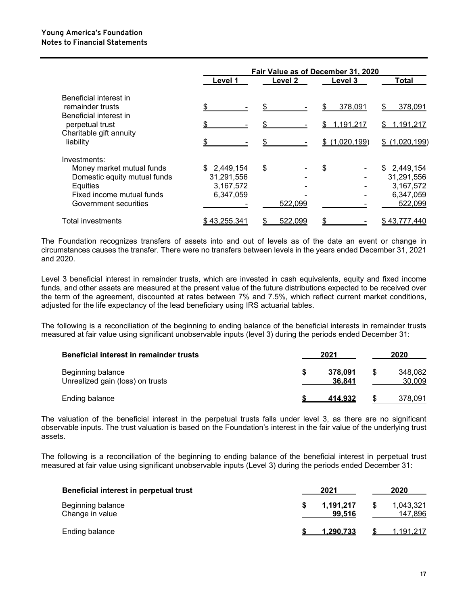|                                                                      |              |         | Fair Value as of December 31, 2020 |                    |
|----------------------------------------------------------------------|--------------|---------|------------------------------------|--------------------|
|                                                                      | Level 1      | Level 2 | Level 3                            | Total              |
| Beneficial interest in<br>remainder trusts<br>Beneficial interest in |              | \$.     | 378,091                            | 378,091<br>\$.     |
| perpetual trust                                                      |              |         | <u>1,191,217</u>                   | 1,191,217<br>S.    |
| Charitable gift annuity<br>liability                                 |              |         | (1,020,199)<br>\$.                 | (1,020,199)<br>\$. |
| Investments:                                                         |              |         |                                    |                    |
| Money market mutual funds                                            | \$2,449,154  | \$      | \$                                 | \$2,449,154        |
| Domestic equity mutual funds                                         | 31,291,556   |         |                                    | 31,291,556         |
| Equities                                                             | 3,167,572    |         |                                    | 3,167,572          |
| Fixed income mutual funds                                            | 6,347,059    |         |                                    | 6,347,059          |
| Government securities                                                |              | 522,099 |                                    | 522,099            |
| <b>Total investments</b>                                             | \$43,255,341 | 522,099 |                                    | \$43,777,440       |

The Foundation recognizes transfers of assets into and out of levels as of the date an event or change in circumstances causes the transfer. There were no transfers between levels in the years ended December 31, 2021 and 2020.

Level 3 beneficial interest in remainder trusts, which are invested in cash equivalents, equity and fixed income funds, and other assets are measured at the present value of the future distributions expected to be received over the term of the agreement, discounted at rates between 7% and 7.5%, which reflect current market conditions, adjusted for the life expectancy of the lead beneficiary using IRS actuarial tables.

The following is a reconciliation of the beginning to ending balance of the beneficial interests in remainder trusts measured at fair value using significant unobservable inputs (level 3) during the periods ended December 31:

| Beneficial interest in remainder trusts               | 2021              |  | 2020              |  |  |
|-------------------------------------------------------|-------------------|--|-------------------|--|--|
| Beginning balance<br>Unrealized gain (loss) on trusts | 378.091<br>36.841 |  | 348.082<br>30,009 |  |  |
| Ending balance                                        | 414.932           |  | <u>378,091</u>    |  |  |

The valuation of the beneficial interest in the perpetual trusts falls under level 3, as there are no significant observable inputs. The trust valuation is based on the Foundation's interest in the fair value of the underlying trust assets.

The following is a reconciliation of the beginning to ending balance of the beneficial interest in perpetual trust measured at fair value using significant unobservable inputs (Level 3) during the periods ended December 31:

| Beneficial interest in perpetual trust | 2021                | 2020                      |
|----------------------------------------|---------------------|---------------------------|
| Beginning balance<br>Change in value   | 1,191,217<br>99.516 | 1,043,321<br>S<br>147,896 |
| Ending balance                         | 1.290.733           | 1.191.217                 |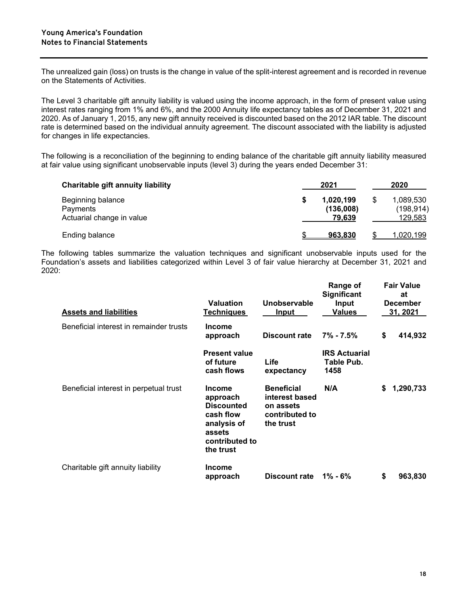The unrealized gain (loss) on trusts is the change in value of the split-interest agreement and is recorded in revenue on the Statements of Activities.

The Level 3 charitable gift annuity liability is valued using the income approach, in the form of present value using interest rates ranging from 1% and 6%, and the 2000 Annuity life expectancy tables as of December 31, 2021 and 2020. As of January 1, 2015, any new gift annuity received is discounted based on the 2012 IAR table. The discount rate is determined based on the individual annuity agreement. The discount associated with the liability is adjusted for changes in life expectancies.

The following is a reconciliation of the beginning to ending balance of the charitable gift annuity liability measured at fair value using significant unobservable inputs (level 3) during the years ended December 31:

| <b>Charitable gift annuity liability</b>                   | 2021                             |  |                                    |
|------------------------------------------------------------|----------------------------------|--|------------------------------------|
| Beginning balance<br>Payments<br>Actuarial change in value | 1,020,199<br>(136,008)<br>79.639 |  | 1,089,530<br>(198, 914)<br>129,583 |
| Ending balance                                             | 963.830                          |  | <u>020,199,</u>                    |

The following tables summarize the valuation techniques and significant unobservable inputs used for the Foundation's assets and liabilities categorized within Level 3 of fair value hierarchy at December 31, 2021 and 2020:

| <b>Assets and liabilities</b>           | <b>Valuation</b><br><b>Techniques</b>                                                                               | Unobservable<br>Input                                                           | Range of<br><b>Significant</b><br>Input<br>Values |    | <b>Fair Value</b><br>at<br><b>December</b><br>31, 2021 |
|-----------------------------------------|---------------------------------------------------------------------------------------------------------------------|---------------------------------------------------------------------------------|---------------------------------------------------|----|--------------------------------------------------------|
| Beneficial interest in remainder trusts | <b>Income</b><br>approach                                                                                           | Discount rate                                                                   | $7\% - 7.5\%$                                     | \$ | 414,932                                                |
|                                         | <b>Present value</b><br>of future<br>cash flows                                                                     | Life<br>expectancy                                                              | <b>IRS Actuarial</b><br>Table Pub.<br>1458        |    |                                                        |
| Beneficial interest in perpetual trust  | <b>Income</b><br>approach<br><b>Discounted</b><br>cash flow<br>analysis of<br>assets<br>contributed to<br>the trust | <b>Beneficial</b><br>interest based<br>on assets<br>contributed to<br>the trust | N/A                                               | S. | 1,290,733                                              |
| Charitable gift annuity liability       | <b>Income</b><br>approach                                                                                           | Discount rate                                                                   | 1% - 6%                                           | \$ | 963,830                                                |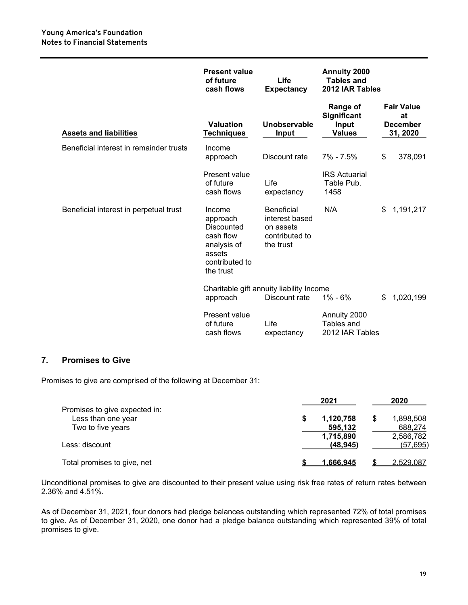|                                         | <b>Present value</b><br>of future<br>cash flows                                                       | Life<br><b>Expectancy</b>                                                       | Annuity 2000<br><b>Tables and</b><br>2012 IAR Tables            |                                                        |
|-----------------------------------------|-------------------------------------------------------------------------------------------------------|---------------------------------------------------------------------------------|-----------------------------------------------------------------|--------------------------------------------------------|
| <b>Assets and liabilities</b>           | <b>Valuation</b><br><b>Techniques</b>                                                                 | Unobservable<br>Input                                                           | <b>Range of</b><br><b>Significant</b><br>Input<br><b>Values</b> | <b>Fair Value</b><br>at<br><b>December</b><br>31, 2020 |
| Beneficial interest in remainder trusts | Income<br>approach                                                                                    | Discount rate                                                                   | 7% - 7.5%                                                       | \$<br>378,091                                          |
|                                         | Present value<br>of future<br>cash flows                                                              | Life<br>expectancy                                                              | <b>IRS Actuarial</b><br>Table Pub.<br>1458                      |                                                        |
| Beneficial interest in perpetual trust  | Income<br>approach<br>Discounted<br>cash flow<br>analysis of<br>assets<br>contributed to<br>the trust | <b>Beneficial</b><br>interest based<br>on assets<br>contributed to<br>the trust | N/A                                                             | 1,191,217<br>\$                                        |
|                                         | approach                                                                                              | Charitable gift annuity liability Income<br>Discount rate                       | $1\% - 6\%$                                                     | 1,020,199<br>\$                                        |
|                                         | Present value<br>of future<br>cash flows                                                              | Life<br>expectancy                                                              | Annuity 2000<br>Tables and<br>2012 IAR Tables                   |                                                        |

#### **7. Promises to Give**

Promises to give are comprised of the following at December 31:

|                                         | 2021                   | 2020                       |  |
|-----------------------------------------|------------------------|----------------------------|--|
| Promises to give expected in:           |                        |                            |  |
| Less than one year<br>Two to five years | 1,120,758<br>595,132   | 1,898,508<br>\$<br>688,274 |  |
| Less: discount                          | 1,715,890<br>(48, 945) | 2,586,782<br>(57, 695)     |  |
| Total promises to give, net             | 1.666.945              | 2,529,087                  |  |

Unconditional promises to give are discounted to their present value using risk free rates of return rates between 2.36% and 4.51%.

As of December 31, 2021, four donors had pledge balances outstanding which represented 72% of total promises to give. As of December 31, 2020, one donor had a pledge balance outstanding which represented 39% of total promises to give.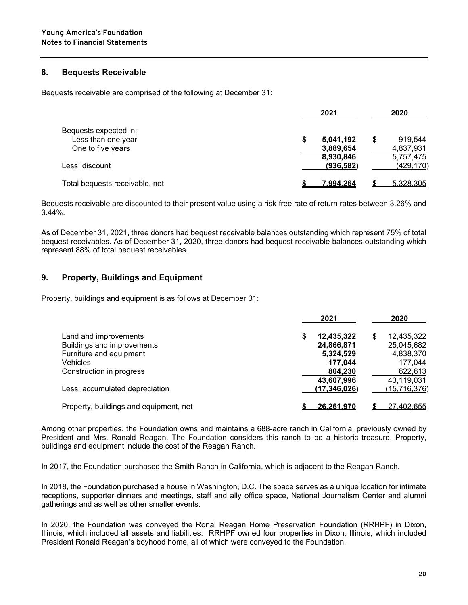#### **8. Bequests Receivable**

Bequests receivable are comprised of the following at December 31:

|                                             | 2021                   | 2020                   |
|---------------------------------------------|------------------------|------------------------|
| Bequests expected in:<br>Less than one year | 5,041,192              | 919.544<br>S           |
| One to five years                           | 3,889,654<br>8,930,846 | 4,837,931<br>5,757,475 |
| Less: discount                              | (936, 582)             | (429, 170)             |
| Total bequests receivable, net              | 7.994.264              | 5,328,305              |

Bequests receivable are discounted to their present value using a risk-free rate of return rates between 3.26% and 3.44%.

As of December 31, 2021, three donors had bequest receivable balances outstanding which represent 75% of total bequest receivables. As of December 31, 2020, three donors had bequest receivable balances outstanding which represent 88% of total bequest receivables.

#### **9. Property, Buildings and Equipment**

Property, buildings and equipment is as follows at December 31:

|                                                                                | 2021                                               | 2020                                             |
|--------------------------------------------------------------------------------|----------------------------------------------------|--------------------------------------------------|
| Land and improvements<br>Buildings and improvements<br>Furniture and equipment | 12,435,322<br>24,866,871<br>5,324,529              | 12,435,322<br>S<br>25,045,682<br>4,838,370       |
| <b>Vehicles</b><br>Construction in progress<br>Less: accumulated depreciation  | 177.044<br>804,230<br>43,607,996<br>(17, 346, 026) | 177,044<br>622,613<br>43,119,031<br>(15,716,376) |
| Property, buildings and equipment, net                                         | <u>26.261.970</u>                                  | 27,402,655                                       |

Among other properties, the Foundation owns and maintains a 688-acre ranch in California, previously owned by President and Mrs. Ronald Reagan. The Foundation considers this ranch to be a historic treasure. Property, buildings and equipment include the cost of the Reagan Ranch.

In 2017, the Foundation purchased the Smith Ranch in California, which is adjacent to the Reagan Ranch.

In 2018, the Foundation purchased a house in Washington, D.C. The space serves as a unique location for intimate receptions, supporter dinners and meetings, staff and ally office space, National Journalism Center and alumni gatherings and as well as other smaller events.

In 2020, the Foundation was conveyed the Ronal Reagan Home Preservation Foundation (RRHPF) in Dixon, Illinois, which included all assets and liabilities. RRHPF owned four properties in Dixon, Illinois, which included President Ronald Reagan's boyhood home, all of which were conveyed to the Foundation.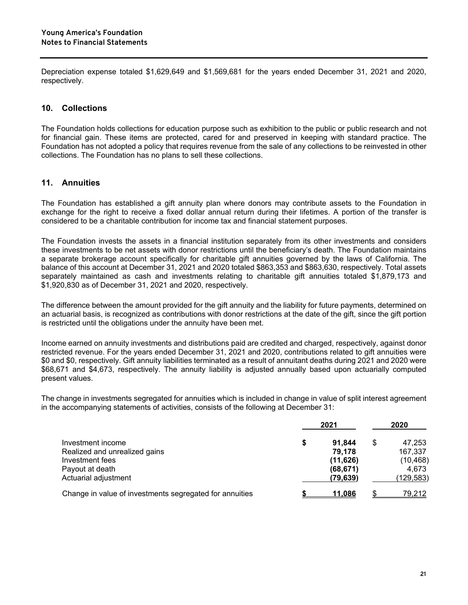Depreciation expense totaled \$1,629,649 and \$1,569,681 for the years ended December 31, 2021 and 2020, respectively.

#### **10. Collections**

The Foundation holds collections for education purpose such as exhibition to the public or public research and not for financial gain. These items are protected, cared for and preserved in keeping with standard practice. The Foundation has not adopted a policy that requires revenue from the sale of any collections to be reinvested in other collections. The Foundation has no plans to sell these collections.

#### **11. Annuities**

The Foundation has established a gift annuity plan where donors may contribute assets to the Foundation in exchange for the right to receive a fixed dollar annual return during their lifetimes. A portion of the transfer is considered to be a charitable contribution for income tax and financial statement purposes.

The Foundation invests the assets in a financial institution separately from its other investments and considers these investments to be net assets with donor restrictions until the beneficiary's death. The Foundation maintains a separate brokerage account specifically for charitable gift annuities governed by the laws of California. The balance of this account at December 31, 2021 and 2020 totaled \$863,353 and \$863,630, respectively. Total assets separately maintained as cash and investments relating to charitable gift annuities totaled \$1,879,173 and \$1,920,830 as of December 31, 2021 and 2020, respectively.

The difference between the amount provided for the gift annuity and the liability for future payments, determined on an actuarial basis, is recognized as contributions with donor restrictions at the date of the gift, since the gift portion is restricted until the obligations under the annuity have been met.

Income earned on annuity investments and distributions paid are credited and charged, respectively, against donor restricted revenue. For the years ended December 31, 2021 and 2020, contributions related to gift annuities were \$0 and \$0, respectively. Gift annuity liabilities terminated as a result of annuitant deaths during 2021 and 2020 were \$68,671 and \$4,673, respectively. The annuity liability is adjusted annually based upon actuarially computed present values.

The change in investments segregated for annuities which is included in change in value of split interest agreement in the accompanying statements of activities, consists of the following at December 31:

|                                                         | 2021           | 2020          |
|---------------------------------------------------------|----------------|---------------|
| Investment income                                       | 91.844         | \$<br>47.253  |
| Realized and unrealized gains                           | 79,178         | 167.337       |
| Investment fees                                         | (11, 626)      | (10, 468)     |
| Payout at death                                         | (68, 671)      | 4,673         |
| Actuarial adjustment                                    | (79, 639)      | (129,583)     |
| Change in value of investments segregated for annuities | <u> 11.086</u> | <u>79,212</u> |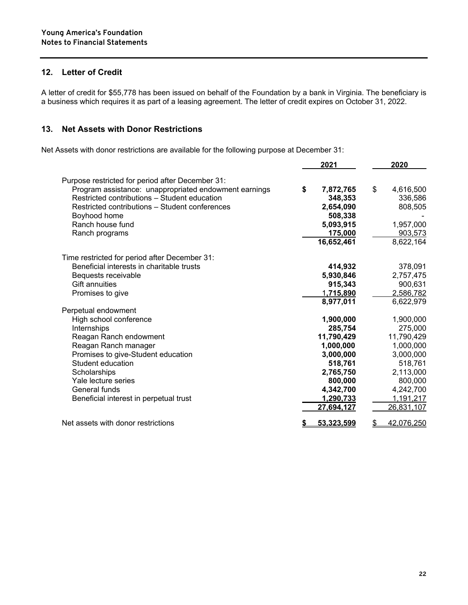#### **12. Letter of Credit**

A letter of credit for \$55,778 has been issued on behalf of the Foundation by a bank in Virginia. The beneficiary is a business which requires it as part of a leasing agreement. The letter of credit expires on October 31, 2022.

#### **13. Net Assets with Donor Restrictions**

Net Assets with donor restrictions are available for the following purpose at December 31:

|                                                                                                       | 2021            |    | 2020              |
|-------------------------------------------------------------------------------------------------------|-----------------|----|-------------------|
| Purpose restricted for period after December 31:                                                      |                 |    |                   |
| Program assistance: unappropriated endowment earnings<br>Restricted contributions - Student education | \$<br>7,872,765 | \$ | 4,616,500         |
|                                                                                                       | 348,353         |    | 336,586           |
| Restricted contributions - Student conferences                                                        | 2,654,090       |    | 808,505           |
| Boyhood home<br>Ranch house fund                                                                      | 508,338         |    |                   |
|                                                                                                       | 5,093,915       |    | 1,957,000         |
| Ranch programs                                                                                        | 175,000         |    | 903,573           |
|                                                                                                       | 16,652,461      |    | 8,622,164         |
| Time restricted for period after December 31:                                                         |                 |    |                   |
| Beneficial interests in charitable trusts                                                             | 414,932         |    | 378,091           |
| Bequests receivable                                                                                   | 5,930,846       |    | 2,757,475         |
| <b>Gift annuities</b>                                                                                 | 915,343         |    | 900,631           |
| Promises to give                                                                                      | 1,715,890       |    | 2,586,782         |
|                                                                                                       | 8,977,011       |    | 6,622,979         |
| Perpetual endowment                                                                                   |                 |    |                   |
| High school conference                                                                                | 1,900,000       |    | 1,900,000         |
| Internships                                                                                           | 285,754         |    | 275,000           |
| Reagan Ranch endowment                                                                                | 11,790,429      |    | 11,790,429        |
| Reagan Ranch manager                                                                                  | 1,000,000       |    | 1,000,000         |
| Promises to give-Student education                                                                    | 3,000,000       |    | 3,000,000         |
| Student education                                                                                     | 518,761         |    | 518,761           |
| Scholarships                                                                                          | 2,765,750       |    | 2,113,000         |
| Yale lecture series                                                                                   | 800,000         |    | 800,000           |
| General funds                                                                                         | 4,342,700       |    | 4,242,700         |
| Beneficial interest in perpetual trust                                                                | 1,290,733       |    | 1,191,217         |
|                                                                                                       | 27,694,127      |    | 26,831,107        |
| Net assets with donor restrictions                                                                    | 53,323,599      |    | <u>42,076,250</u> |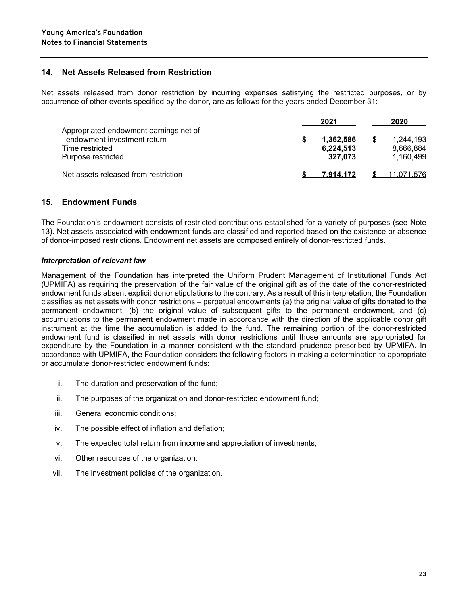#### **14. Net Assets Released from Restriction**

Net assets released from donor restriction by incurring expenses satisfying the restricted purposes, or by occurrence of other events specified by the donor, are as follows for the years ended December 31:

|                                                                                                                | 2021                              |    | 2020                                |
|----------------------------------------------------------------------------------------------------------------|-----------------------------------|----|-------------------------------------|
| Appropriated endowment earnings net of<br>endowment investment return<br>Time restricted<br>Purpose restricted | 1,362,586<br>6,224,513<br>327.073 | S. | 1,244,193<br>8.666.884<br>1,160,499 |
| Net assets released from restriction                                                                           | 7.914.172                         |    | 11,071,576                          |

#### **15. Endowment Funds**

The Foundation's endowment consists of restricted contributions established for a variety of purposes (see Note 13). Net assets associated with endowment funds are classified and reported based on the existence or absence of donor-imposed restrictions. Endowment net assets are composed entirely of donor-restricted funds.

#### *Interpretation of relevant law*

Management of the Foundation has interpreted the Uniform Prudent Management of Institutional Funds Act (UPMIFA) as requiring the preservation of the fair value of the original gift as of the date of the donor-restricted endowment funds absent explicit donor stipulations to the contrary. As a result of this interpretation, the Foundation classifies as net assets with donor restrictions – perpetual endowments (a) the original value of gifts donated to the permanent endowment, (b) the original value of subsequent gifts to the permanent endowment, and (c) accumulations to the permanent endowment made in accordance with the direction of the applicable donor gift instrument at the time the accumulation is added to the fund. The remaining portion of the donor-restricted endowment fund is classified in net assets with donor restrictions until those amounts are appropriated for expenditure by the Foundation in a manner consistent with the standard prudence prescribed by UPMIFA. In accordance with UPMIFA, the Foundation considers the following factors in making a determination to appropriate or accumulate donor-restricted endowment funds:

- i. The duration and preservation of the fund;
- ii. The purposes of the organization and donor-restricted endowment fund;
- iii. General economic conditions;
- iv. The possible effect of inflation and deflation;
- v. The expected total return from income and appreciation of investments;
- vi. Other resources of the organization;
- vii. The investment policies of the organization.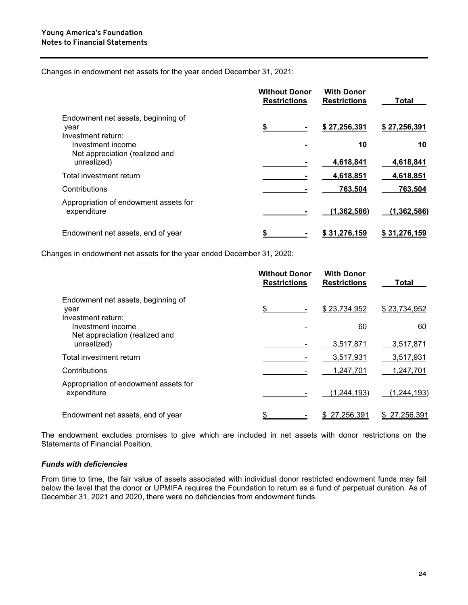Changes in endowment net assets for the year ended December 31, 2021:

|                                                                    | <b>Without Donor</b><br><b>Restrictions</b> | <b>With Donor</b><br><b>Restrictions</b> | Total           |
|--------------------------------------------------------------------|---------------------------------------------|------------------------------------------|-----------------|
| Endowment net assets, beginning of<br>vear<br>Investment return:   |                                             | \$27,256,391                             | \$27,256,391    |
| Investment income<br>Net appreciation (realized and<br>unrealized) |                                             | 10<br>4,618,841                          | 10<br>4,618,841 |
| Total investment return                                            |                                             | 4,618,851                                | 4,618,851       |
| Contributions                                                      |                                             | 763,504                                  | 763,504         |
| Appropriation of endowment assets for<br>expenditure               |                                             | (1,362,586)                              | (1, 362, 586)   |
| Endowment net assets, end of year                                  |                                             | \$31.276.159                             | \$31,276,159    |

Changes in endowment net assets for the year ended December 31, 2020:

|                                                                  | <b>Without Donor</b><br><b>Restrictions</b> | <b>With Donor</b><br><b>Restrictions</b> | Total                  |
|------------------------------------------------------------------|---------------------------------------------|------------------------------------------|------------------------|
| Endowment net assets, beginning of<br>year<br>Investment return: | \$                                          | \$23,734,952                             | \$23,734,952           |
| Investment income<br>Net appreciation (realized and              |                                             | 60                                       | 60                     |
| unrealized)<br>Total investment return                           |                                             | 3,517,871<br>3,517,931                   | 3,517,871<br>3,517,931 |
| Contributions                                                    |                                             | 1,247,701                                | 1,247,701              |
| Appropriation of endowment assets for<br>expenditure             |                                             | (1, 244, 193)                            | (1, 244, 193)          |
| Endowment net assets, end of year                                |                                             | 27,256,391                               | \$27,256,391           |

The endowment excludes promises to give which are included in net assets with donor restrictions on the Statements of Financial Position.

#### *Funds with deficiencies*

From time to time, the fair value of assets associated with individual donor restricted endowment funds may fall below the level that the donor or UPMIFA requires the Foundation to return as a fund of perpetual duration. As of December 31, 2021 and 2020, there were no deficiencies from endowment funds.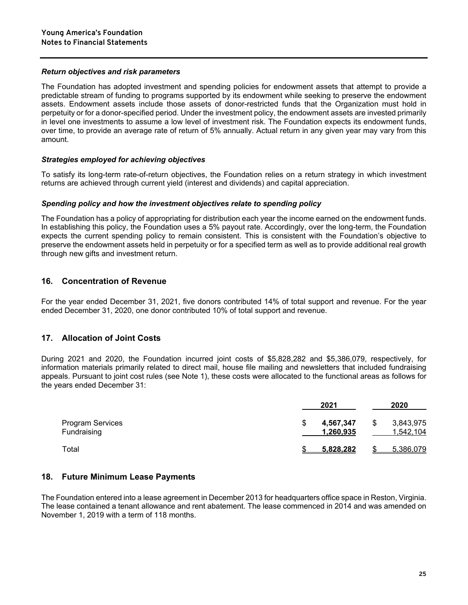#### *Return objectives and risk parameters*

The Foundation has adopted investment and spending policies for endowment assets that attempt to provide a predictable stream of funding to programs supported by its endowment while seeking to preserve the endowment assets. Endowment assets include those assets of donor-restricted funds that the Organization must hold in perpetuity or for a donor-specified period. Under the investment policy, the endowment assets are invested primarily in level one investments to assume a low level of investment risk. The Foundation expects its endowment funds, over time, to provide an average rate of return of 5% annually. Actual return in any given year may vary from this amount.

#### *Strategies employed for achieving objectives*

To satisfy its long-term rate-of-return objectives, the Foundation relies on a return strategy in which investment returns are achieved through current yield (interest and dividends) and capital appreciation.

#### *Spending policy and how the investment objectives relate to spending policy*

The Foundation has a policy of appropriating for distribution each year the income earned on the endowment funds. In establishing this policy, the Foundation uses a 5% payout rate. Accordingly, over the long-term, the Foundation expects the current spending policy to remain consistent. This is consistent with the Foundation's objective to preserve the endowment assets held in perpetuity or for a specified term as well as to provide additional real growth through new gifts and investment return.

#### **16. Concentration of Revenue**

For the year ended December 31, 2021, five donors contributed 14% of total support and revenue. For the year ended December 31, 2020, one donor contributed 10% of total support and revenue.

#### **17. Allocation of Joint Costs**

During 2021 and 2020, the Foundation incurred joint costs of \$5,828,282 and \$5,386,079, respectively, for information materials primarily related to direct mail, house file mailing and newsletters that included fundraising appeals. Pursuant to joint cost rules (see Note 1), these costs were allocated to the functional areas as follows for the years ended December 31:

|                                 | 2021 |                        | 2020 |                        |
|---------------------------------|------|------------------------|------|------------------------|
| Program Services<br>Fundraising |      | 4,567,347<br>1,260,935 | \$   | 3,843,975<br>1,542,104 |
| Total                           |      | <u>5.828.282</u>       |      | 5,386,079              |

#### **18. Future Minimum Lease Payments**

The Foundation entered into a lease agreement in December 2013 for headquarters office space in Reston, Virginia. The lease contained a tenant allowance and rent abatement. The lease commenced in 2014 and was amended on November 1, 2019 with a term of 118 months.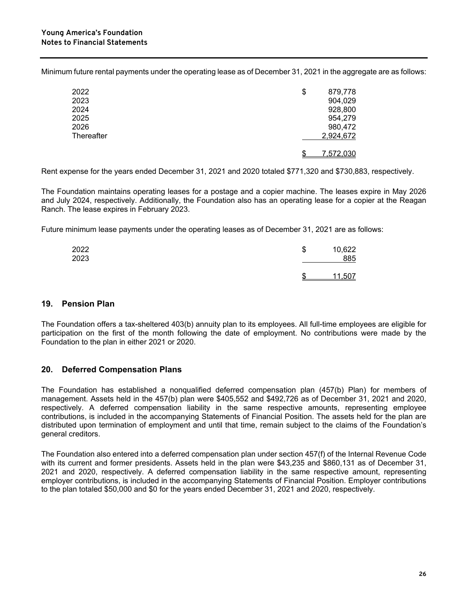Minimum future rental payments under the operating lease as of December 31, 2021 in the aggregate are as follows:

| 2022       | \$<br>879,778 |
|------------|---------------|
| 2023       | 904,029       |
| 2024       | 928,800       |
| 2025       | 954,279       |
| 2026       | 980,472       |
| Thereafter | 2,924,672     |
|            | 7,572,030     |

Rent expense for the years ended December 31, 2021 and 2020 totaled \$771,320 and \$730,883, respectively.

The Foundation maintains operating leases for a postage and a copier machine. The leases expire in May 2026 and July 2024, respectively. Additionally, the Foundation also has an operating lease for a copier at the Reagan Ranch. The lease expires in February 2023.

Future minimum lease payments under the operating leases as of December 31, 2021 are as follows:

| 2022 | ጦ | 10,622 |
|------|---|--------|
| 2023 | D | 885    |
|      | œ | 1,507  |

#### **19. Pension Plan**

The Foundation offers a tax-sheltered 403(b) annuity plan to its employees. All full-time employees are eligible for participation on the first of the month following the date of employment. No contributions were made by the Foundation to the plan in either 2021 or 2020.

#### **20. Deferred Compensation Plans**

The Foundation has established a nonqualified deferred compensation plan (457(b) Plan) for members of management. Assets held in the 457(b) plan were \$405,552 and \$492,726 as of December 31, 2021 and 2020, respectively. A deferred compensation liability in the same respective amounts, representing employee contributions, is included in the accompanying Statements of Financial Position. The assets held for the plan are distributed upon termination of employment and until that time, remain subject to the claims of the Foundation's general creditors.

The Foundation also entered into a deferred compensation plan under section 457(f) of the Internal Revenue Code with its current and former presidents. Assets held in the plan were \$43,235 and \$860,131 as of December 31, 2021 and 2020, respectively. A deferred compensation liability in the same respective amount, representing employer contributions, is included in the accompanying Statements of Financial Position. Employer contributions to the plan totaled \$50,000 and \$0 for the years ended December 31, 2021 and 2020, respectively.